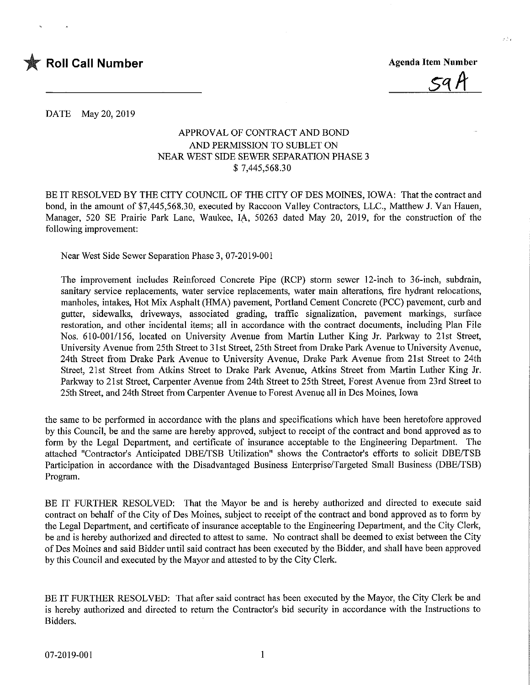

DATE May 20, 2019

## APPROVAL OF CONTRACT AND BOND AND PERMISSION TO SUBLET ON NEAR WEST SIDE SEWER SEPARATION PHASE 3 \$ 7,445,568.30

BE IT RESOLVED BY THE CITY COUNCIL OF THE CITY OF DES MOINES, IOWA: That the contract and bond, in the amount of \$7,445,568.30, executed by Raccoon Valley Contractors, LLC., Matthew J. Van Hauen, Manager, 520 SE Prairie Park Lane, Waukee, IA, 50263 dated May 20, 2019, for the construction of the following improvement:

Near West Side Sewer Separation Phase 3, 07-2019-001

The improvement includes Reinforced Concrete Pipe (RCP) storm sewer 12-inch to 36-inch, subdrain, sanitary service replacements, water service replacements, water main alterations, fire hydrant relocations, manholes, intakes, Hot Mix Asphalt (HMA) pavement, Portland Cement Concrete (PCC) pavement, curb and gutter, sidewalks, driveways, associated grading, traffic signallzation, pavement markings, surface restoration, and other incidental items; all in accordance with the contract documents, including Plan File Nos. 610-001/156, located on University Avenue from Martin Luther King Jr. Parkway to 21st Street, University Avenue from 25th Street to 31 st Street, 25th Street from Drake Park Avenue to University Avenue, 24th Street from Drake Park Avenue to University Avenue, Drake Park Avenue from 21st Street to 24th Street, 21st Street from Atkins Street to Drake Park Avenue, Atkins Street from Martin Luther King Jr. Parkway to 21st Street, Carpenter Avenue from 24th Street to 25th Street, Forest Avenue from 23rd Street to 25th Street, and 24th Street from Carpenter Avenue to Forest Avenue all in Des Moines, Iowa

the same to be performed in accordance with the plans and specifications which have been heretofore approved by this Council, be and the same are hereby approved, subject to receipt of the contract and bond approved as to form by the Legal Department, and certificate of insurance acceptable to the Engineering Department. The attached "Contractor's Anticipated DBE/TSB Utilization" shows the Contractor's efforts to solicit DBE/TSB Participation in accordance with the Disadvantaged Business Enterprise/Targeted Small Business (DBE/TSB) Program.

BE IT FURTHER RESOLVED: That the Mayor be and is hereby authorized and directed to execute said contract on behalf of the City of Des Moines, subject to receipt of the contract and bond approved as to form by the Legal Department, and certificate of insurance acceptable to the Engineering Department, and the City Clerk, be and is hereby authorized and directed to attest to same. No contract shall be deemed to exist between the City ofDes Moines and said Bidder until said contract has been executed by the Bidder, and shall have been approved by this Council and executed by the Mayor and attested to by the City Clerk.

BE IT FURTHER RESOLVED: That after said contract has been executed by the Mayor, the City Clerk be and is hereby authorized and directed to return the Contractor's bid security in accordance with the Instructions to Bidders.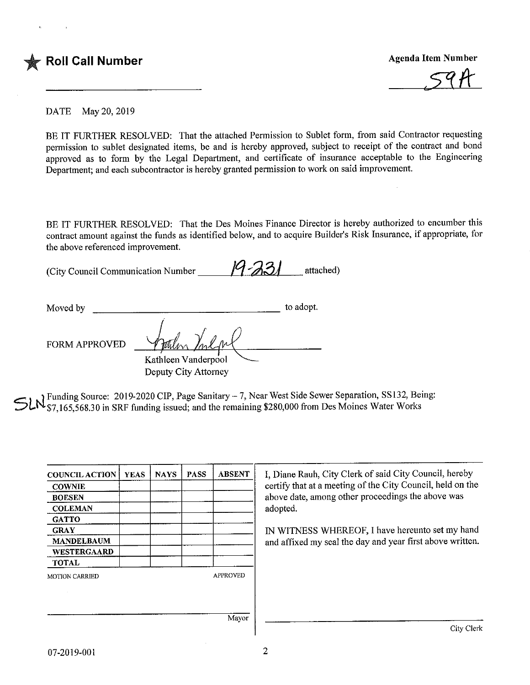

DATE May 20, 2019

BE IT FURTHER RESOLVED: That the attached Permission to Sublet form, from said Contractor requesting permission to sublet designated items, be and is hereby approved, subject to receipt of the contract and bond approved as to form by the Legal Department, and certificate of insurance acceptable to the Engineering Department; and each subcontractor is hereby granted permission to work on said improvement.

BE IT FURTHER RESOLVED: That the Des Moines Finance Director is hereby authorized to encumber this contract amount against the funds as identified below, and to acquire Builder's Risk Insurance, if appropriate, for the above referenced improvement.

(City Council Communication Number  $\frac{19.331}{1000}$  attached)

Moved by to adopt. FORM APPROVED Kathleen Vanderpool Deputy City Attorney

If Funding Source: 2019-2020 CIP, Page Sanitary - 7, Near West Side Sewer Separation, SS132, Being: '\$7,165,568.30 in SRF funding issued; and the remaining \$280,000 from Des Moines Water Works

| <b>COUNCIL ACTION</b> | <b>YEAS</b> | <b>NAYS</b> | <b>PASS</b> | <b>ABSENT</b>   | I, Diane Rauh, City Clerk of said City Council, hereby                                                       |  |  |
|-----------------------|-------------|-------------|-------------|-----------------|--------------------------------------------------------------------------------------------------------------|--|--|
| <b>COWNIE</b>         |             |             |             |                 | certify that at a meeting of the City Council, held on the                                                   |  |  |
| <b>BOESEN</b>         |             |             |             |                 | above date, among other proceedings the above was<br>adopted.                                                |  |  |
| <b>COLEMAN</b>        |             |             |             |                 |                                                                                                              |  |  |
| <b>GATTO</b>          |             |             |             |                 | IN WITNESS WHEREOF, I have hereunto set my hand<br>and affixed my seal the day and year first above written. |  |  |
| <b>GRAY</b>           |             |             |             |                 |                                                                                                              |  |  |
| <b>MANDELBAUM</b>     |             |             |             |                 |                                                                                                              |  |  |
| <b>WESTERGAARD</b>    |             |             |             |                 |                                                                                                              |  |  |
| <b>TOTAL</b>          |             |             |             |                 |                                                                                                              |  |  |
| <b>MOTION CARRIED</b> |             |             |             | <b>APPROVED</b> |                                                                                                              |  |  |
|                       |             |             |             |                 |                                                                                                              |  |  |
|                       |             |             |             |                 |                                                                                                              |  |  |
|                       |             |             |             | Mayor           |                                                                                                              |  |  |
|                       |             |             |             |                 | City Clerk                                                                                                   |  |  |